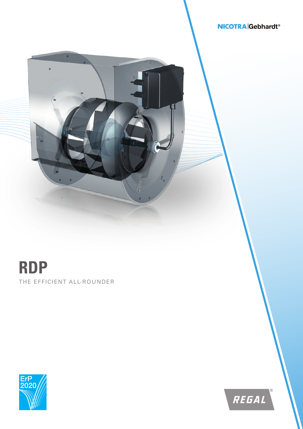## **NICOTRA** Gebhardt<sup>®</sup>

## THE EFFICIENT ALL-ROUNDER **RDP**

ä



REGAL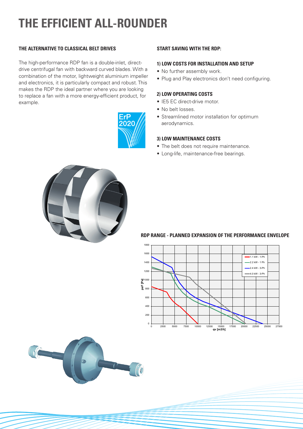# **THE EFFICIENT ALL-ROUNDER**

## **THE ALTERNATIVE TO CLASSICAL BELT DRIVES**

The high-performance RDP fan is a double-inlet, directdrive centrifugal fan with backward curved blades. With a combination of the motor, lightweight aluminium impeller and electronics, it is particularly compact and robust. This makes the RDP the ideal partner where you are looking to replace a fan with a more energy-efficient product, for example.



## **START SAVING WITH THE RDP:**

## **1) LOW COSTS FOR INSTALLATION AND SETUP**

- No further assembly work.
- Plug and Play electronics don't need configuring.

## **2) LOW OPERATING COSTS**

- IE5 EC direct-drive motor.
- No belt losses.
- Streamlined motor installation for optimum aerodynamics.

### **3) LOW MAINTENANCE COSTS**

- The belt does not require maintenance.
- Long-life, maintenance-free bearings.



## **RDP range - Planned expansion of the performance envelope RDP RANGE - PLANNED EXPANSION OF THE PERFORMANCE ENVELOPE**



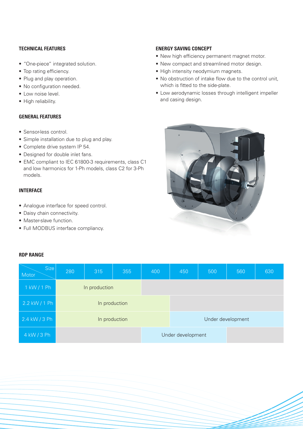## **TECHNICAL FEATURES**

- "One-piece" integrated solution.
- Top rating efficiency.
- Plug and play operation.
- No configuration needed.
- Low noise level.
- High reliability.

## **GENERAL FEATURES**

- Sensor-less control.
- Simple installation due to plug and play.
- Complete drive system IP 54.
- Designed for double inlet fans.
- EMC compliant to IEC 61800-3 requirements, class C1 and low harmonics for 1-Ph models, class C2 for 3-Ph models.

## **INTERFACE**

**RDP RANGE**

- Analogue interface for speed control.
- Daisy chain connectivity.
- Master-slave function.
- Full MODBUS interface compliancy.

## Size Motor 280 315 355 400 450 500 560 630 1 kW / 1 Ph 2.2 kW / 1 Ph 2.4 kW / 3 Ph In production Under development 4 kW / 3 Ph Under development

## **ENERGY SAVING CONCEPT**

- New high efficiency permanent magnet motor.
- New compact and streamlined motor design.
- High intensity neodymium magnets.
- No obstruction of intake flow due to the control unit, which is fitted to the side-plate.
- Low aerodynamic losses through intelligent impeller and casing design.